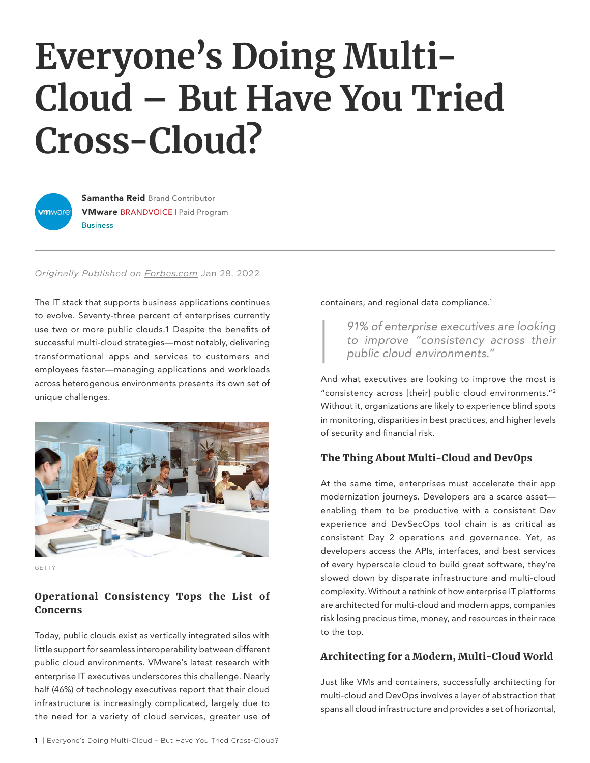# **Everyone's Doing Multi-Cloud – But Have You Tried Cross-Cloud?**



**Samantha Reid Brand Contributor** VMware BRANDVOICE | Paid Program **Business** 

*Originally Published on [Forbes.com](https://www.forbes.com/sites/vmware/2022/01/28/everyones-doing-multi-cloud--but-have-you-tried-cross-cloud/?sh=2dfaa4d7694c)* Jan 28, 2022

The IT stack that supports business applications continues to evolve. Seventy-three percent of enterprises currently use two or more public clouds.1 Despite the benefits of successful multi-cloud strategies—most notably, delivering transformational apps and services to customers and employees faster—managing applications and workloads across heterogenous environments presents its own set of unique challenges.



**GETTY** 

# Operational Consistency Tops the List of Concerns

Today, public clouds exist as vertically integrated silos with little support for seamless interoperability between different public cloud environments. VMware's latest research with enterprise IT executives underscores this challenge. Nearly half (46%) of technology executives report that their cloud infrastructure is increasingly complicated, largely due to the need for a variety of cloud services, greater use of containers, and regional data compliance.1

*91% of enterprise executives are looking to improve "consistency across their public cloud environments."*

And what executives are looking to improve the most is "consistency across [their] public cloud environments."2 Without it, organizations are likely to experience blind spots in monitoring, disparities in best practices, and higher levels of security and financial risk.

## The Thing About Multi-Cloud and DevOps

At the same time, enterprises must accelerate their app modernization journeys. Developers are a scarce asset enabling them to be productive with a consistent Dev experience and DevSecOps tool chain is as critical as consistent Day 2 operations and governance. Yet, as developers access the APIs, interfaces, and best services of every hyperscale cloud to build great software, they're slowed down by disparate infrastructure and multi-cloud complexity. Without a rethink of how enterprise IT platforms are architected for multi-cloud and modern apps, companies risk losing precious time, money, and resources in their race to the top.

## Architecting for a Modern, Multi-Cloud World

Just like VMs and containers, successfully architecting for multi-cloud and DevOps involves a layer of abstraction that spans all cloud infrastructure and provides a set of horizontal,